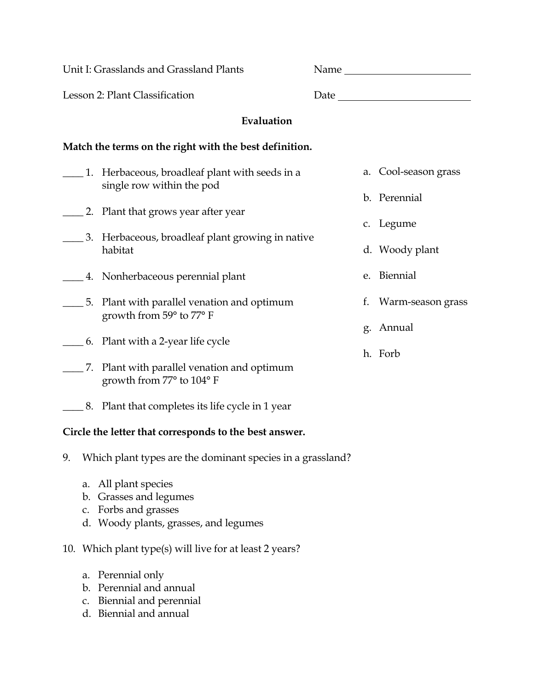| Unit I: Grasslands and Grassland Plants                |                                                                             |  |    | Name and the same state of the state of the state of the state of the state of the state of the state of the state of the state of the state of the state of the state of the state of the state of the state of the state of |
|--------------------------------------------------------|-----------------------------------------------------------------------------|--|----|-------------------------------------------------------------------------------------------------------------------------------------------------------------------------------------------------------------------------------|
| Lesson 2: Plant Classification                         |                                                                             |  |    |                                                                                                                                                                                                                               |
| Evaluation                                             |                                                                             |  |    |                                                                                                                                                                                                                               |
| Match the terms on the right with the best definition. |                                                                             |  |    |                                                                                                                                                                                                                               |
|                                                        | 1. Herbaceous, broadleaf plant with seeds in a<br>single row within the pod |  |    | a. Cool-season grass                                                                                                                                                                                                          |
|                                                        |                                                                             |  |    | b. Perennial                                                                                                                                                                                                                  |
|                                                        | 2. Plant that grows year after year                                         |  |    | c. Legume                                                                                                                                                                                                                     |
|                                                        | 3. Herbaceous, broadleaf plant growing in native<br>habitat                 |  |    | d. Woody plant                                                                                                                                                                                                                |
|                                                        | 4. Nonherbaceous perennial plant                                            |  |    | e. Biennial                                                                                                                                                                                                                   |
|                                                        | 5. Plant with parallel venation and optimum                                 |  | t. | Warm-season grass                                                                                                                                                                                                             |
|                                                        | growth from 59° to 77° F<br>________ 6. Plant with a 2-year life cycle      |  |    | g. Annual                                                                                                                                                                                                                     |
|                                                        |                                                                             |  |    | h. Forb                                                                                                                                                                                                                       |
|                                                        | 7. Plant with parallel venation and optimum<br>growth from 77° to 104° F    |  |    |                                                                                                                                                                                                                               |
|                                                        | 8. Plant that completes its life cycle in 1 year                            |  |    |                                                                                                                                                                                                                               |

## **Circle the letter that corresponds to the best answer.**

- 9. Which plant types are the dominant species in a grassland?
	- a. All plant species
	- b. Grasses and legumes
	- c. Forbs and grasses
	- d. Woody plants, grasses, and legumes

## 10. Which plant type(s) will live for at least 2 years?

- a. Perennial only
- b. Perennial and annual
- c. Biennial and perennial
- d. Biennial and annual